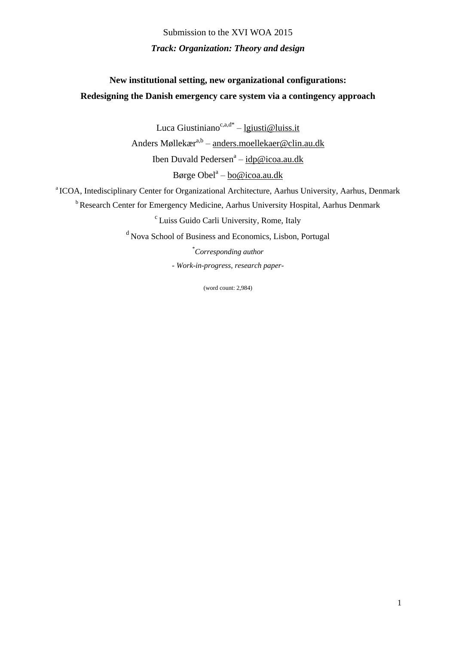Submission to the XVI WOA 2015 *Track: Organization: Theory and design*

# **New institutional setting, new organizational configurations: Redesigning the Danish emergency care system via a contingency approach**

Luca Giustiniano<sup>c,a,d\*</sup> – <u>[lgiusti@luiss.it](mailto:lgiusti@luiss.it)</u> Anders Møllekær<sup>a,b</sup> – anders.moellekaer@clin.au.dk Iben Duvald Pedersen<sup>a</sup> – <u>[idp@icoa.au.dk](mailto:idp@icoa.au.dk)</u> Børge Obel<sup>a</sup> – [bo@icoa.au.dk](mailto:bo@icoa.au.dk)

<sup>a</sup> ICOA, Intedisciplinary Center for Organizational Architecture, Aarhus University, Aarhus, Denmark

<sup>b</sup> Research Center for Emergency Medicine, Aarhus University Hospital, Aarhus Denmark

c Luiss Guido Carli University, Rome, Italy

<sup>d</sup> Nova School of Business and Economics, Lisbon, Portugal

\**Corresponding author - Work-in-progress, research paper-*

(word count: 2,984)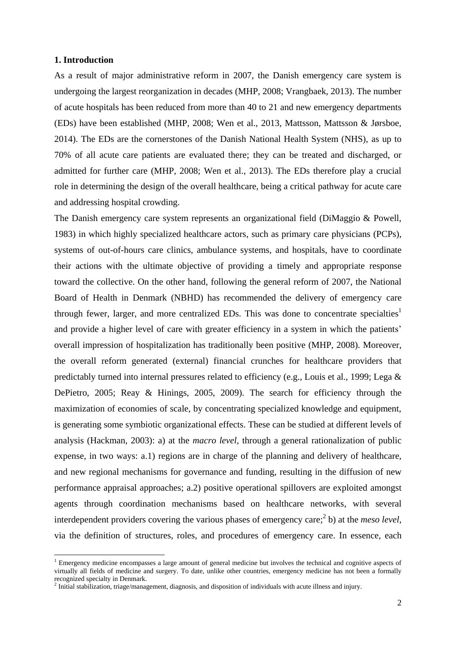## **1. Introduction**

**.** 

As a result of major administrative reform in 2007, the Danish emergency care system is undergoing the largest reorganization in decades (MHP, 2008; Vrangbaek, 2013). The number of acute hospitals has been reduced from more than 40 to 21 and new emergency departments (EDs) have been established (MHP, 2008; Wen et al., 2013, Mattsson, Mattsson & Jørsboe, 2014). The EDs are the cornerstones of the Danish National Health System (NHS), as up to 70% of all acute care patients are evaluated there; they can be treated and discharged, or admitted for further care (MHP, 2008; Wen et al., 2013). The EDs therefore play a crucial role in determining the design of the overall healthcare, being a critical pathway for acute care and addressing hospital crowding.

The Danish emergency care system represents an organizational field (DiMaggio & Powell, 1983) in which highly specialized healthcare actors, such as primary care physicians (PCPs), systems of out-of-hours care clinics, ambulance systems, and hospitals, have to coordinate their actions with the ultimate objective of providing a timely and appropriate response toward the collective. On the other hand, following the general reform of 2007, the National Board of Health in Denmark (NBHD) has recommended the delivery of emergency care through fewer, larger, and more centralized EDs. This was done to concentrate specialties<sup>1</sup> and provide a higher level of care with greater efficiency in a system in which the patients' overall impression of hospitalization has traditionally been positive (MHP, 2008). Moreover, the overall reform generated (external) financial crunches for healthcare providers that predictably turned into internal pressures related to efficiency (e.g., Louis et al., 1999; Lega & DePietro, 2005; Reay & Hinings, 2005, 2009). The search for efficiency through the maximization of economies of scale, by concentrating specialized knowledge and equipment, is generating some symbiotic organizational effects. These can be studied at different levels of analysis (Hackman, 2003): a) at the *macro level*, through a general rationalization of public expense, in two ways: a.1) regions are in charge of the planning and delivery of healthcare, and new regional mechanisms for governance and funding, resulting in the diffusion of new performance appraisal approaches; a.2) positive operational spillovers are exploited amongst agents through coordination mechanisms based on healthcare networks, with several interdependent providers covering the various phases of emergency care; 2 b) at the *meso level*, via the definition of structures, roles, and procedures of emergency care. In essence, each

<sup>&</sup>lt;sup>1</sup> Emergency medicine encompasses a large amount of general medicine but involves the technical and cognitive aspects of virtually all fields of medicine and surgery. To date, unlike other countries, emergency medicine has not been a formally recognized specialty in Denmark.

<sup>&</sup>lt;sup>2</sup> Initial stabilization, triage/management, diagnosis, and disposition of individuals with acute illness and injury.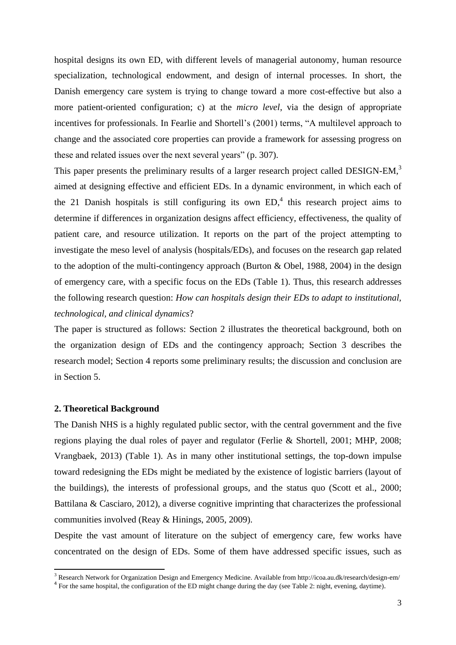hospital designs its own ED, with different levels of managerial autonomy, human resource specialization, technological endowment, and design of internal processes. In short, the Danish emergency care system is trying to change toward a more cost-effective but also a more patient-oriented configuration; c) at the *micro level*, via the design of appropriate incentives for professionals. In Fearlie and Shortell's (2001) terms, "A multilevel approach to change and the associated core properties can provide a framework for assessing progress on these and related issues over the next several years" (p. 307).

This paper presents the preliminary results of a larger research project called DESIGN-EM,<sup>3</sup> aimed at designing effective and efficient EDs. In a dynamic environment, in which each of the 21 Danish hospitals is still configuring its own  $ED<sub>1</sub><sup>4</sup>$  this research project aims to determine if differences in organization designs affect efficiency, effectiveness, the quality of patient care, and resource utilization. It reports on the part of the project attempting to investigate the meso level of analysis (hospitals/EDs), and focuses on the research gap related to the adoption of the multi-contingency approach (Burton & Obel, 1988, 2004) in the design of emergency care, with a specific focus on the EDs (Table 1). Thus, this research addresses the following research question: *How can hospitals design their EDs to adapt to institutional, technological, and clinical dynamics*?

The paper is structured as follows: Section 2 illustrates the theoretical background, both on the organization design of EDs and the contingency approach; Section 3 describes the research model; Section 4 reports some preliminary results; the discussion and conclusion are in Section 5.

### **2. Theoretical Background**

1

The Danish NHS is a highly regulated public sector, with the central government and the five regions playing the dual roles of payer and regulator (Ferlie & Shortell, 2001; MHP, 2008; Vrangbaek, 2013) (Table 1). As in many other institutional settings, the top-down impulse toward redesigning the EDs might be mediated by the existence of logistic barriers (layout of the buildings), the interests of professional groups, and the status quo (Scott et al., 2000; Battilana & Casciaro, 2012), a diverse cognitive imprinting that characterizes the professional communities involved (Reay & Hinings, 2005, 2009).

Despite the vast amount of literature on the subject of emergency care, few works have concentrated on the design of EDs. Some of them have addressed specific issues, such as

 $3$  Research Network for Organization Design and Emergency Medicine. Available from<http://icoa.au.dk/research/design-em/>

<sup>&</sup>lt;sup>4</sup> For the same hospital, the configuration of the ED might change during the day (see Table 2: night, evening, daytime).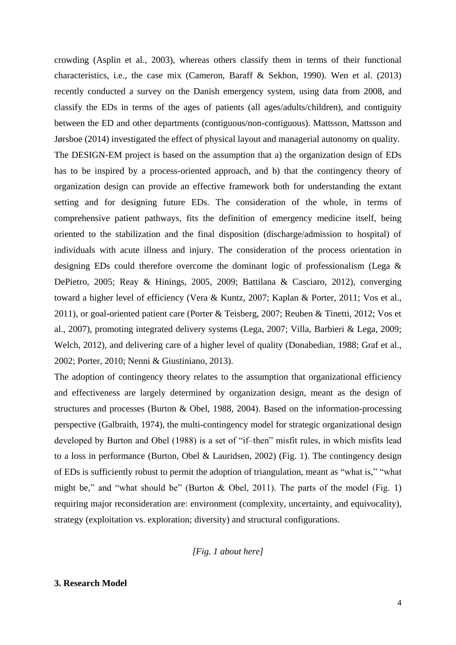crowding (Asplin et al., 2003), whereas others classify them in terms of their functional characteristics, i.e., the case mix (Cameron, Baraff & Sekhon, 1990). Wen et al. (2013) recently conducted a survey on the Danish emergency system, using data from 2008, and classify the EDs in terms of the ages of patients (all ages/adults/children), and contiguity between the ED and other departments (contiguous/non-contiguous). Mattsson, Mattsson and Jørsboe (2014) investigated the effect of physical layout and managerial autonomy on quality. The DESIGN-EM project is based on the assumption that a) the organization design of EDs has to be inspired by a process-oriented approach, and b) that the contingency theory of organization design can provide an effective framework both for understanding the extant setting and for designing future EDs. The consideration of the whole, in terms of comprehensive patient pathways, fits the definition of emergency medicine itself, being oriented to the stabilization and the final disposition (discharge/admission to hospital) of individuals with acute illness and injury. The consideration of the process orientation in designing EDs could therefore overcome the dominant logic of professionalism (Lega & DePietro, 2005; Reay & Hinings, 2005, 2009; Battilana & Casciaro, 2012), converging toward a higher level of efficiency (Vera & Kuntz, 2007; Kaplan & Porter, 2011; Vos et al., 2011), or goal-oriented patient care (Porter & Teisberg, 2007; Reuben & Tinetti, 2012; Vos et al., 2007), promoting integrated delivery systems (Lega, 2007; Villa, Barbieri & Lega, 2009; Welch, 2012), and delivering care of a higher level of quality (Donabedian, 1988; Graf et al., 2002; Porter, 2010; Nenni & Giustiniano, 2013).

The adoption of contingency theory relates to the assumption that organizational efficiency and effectiveness are largely determined by organization design, meant as the design of structures and processes (Burton & Obel, 1988, 2004). Based on the information-processing perspective (Galbraith, 1974), the multi-contingency model for strategic organizational design developed by Burton and Obel (1988) is a set of "if–then" misfit rules, in which misfits lead to a loss in performance (Burton, Obel & Lauridsen, 2002) (Fig. 1). The contingency design of EDs is sufficiently robust to permit the adoption of triangulation, meant as "what is," "what might be," and "what should be" (Burton  $\&$  Obel, 2011). The parts of the model (Fig. 1) requiring major reconsideration are: environment (complexity, uncertainty, and equivocality), strategy (exploitation vs. exploration; diversity) and structural configurations.

*[Fig. 1 about here]*

# **3. Research Model**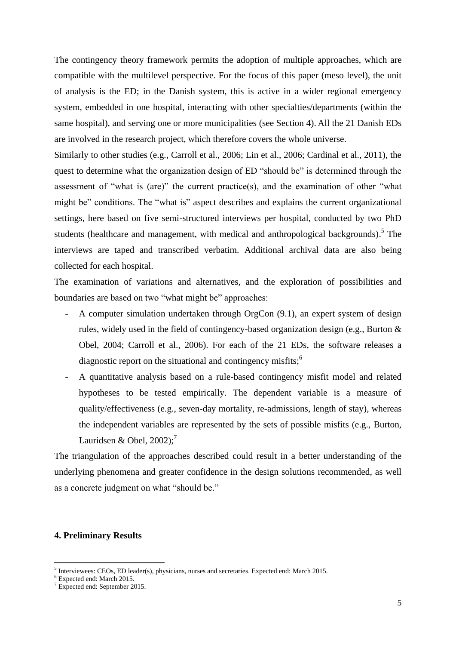The contingency theory framework permits the adoption of multiple approaches, which are compatible with the multilevel perspective. For the focus of this paper (meso level), the unit of analysis is the ED; in the Danish system, this is active in a wider regional emergency system, embedded in one hospital, interacting with other specialties/departments (within the same hospital), and serving one or more municipalities (see Section 4). All the 21 Danish EDs are involved in the research project, which therefore covers the whole universe.

Similarly to other studies (e.g., Carroll et al., 2006; Lin et al., 2006; Cardinal et al., 2011), the quest to determine what the organization design of ED "should be" is determined through the assessment of "what is (are)" the current practice(s), and the examination of other "what might be" conditions. The "what is" aspect describes and explains the current organizational settings, here based on five semi-structured interviews per hospital, conducted by two PhD students (healthcare and management, with medical and anthropological backgrounds).<sup>5</sup> The interviews are taped and transcribed verbatim. Additional archival data are also being collected for each hospital.

The examination of variations and alternatives, and the exploration of possibilities and boundaries are based on two "what might be" approaches:

- A computer simulation undertaken through OrgCon (9.1), an expert system of design rules, widely used in the field of contingency-based organization design (e.g., Burton & Obel, 2004; Carroll et al., 2006). For each of the 21 EDs, the software releases a diagnostic report on the situational and contingency misfits;<sup>6</sup>
- A quantitative analysis based on a rule-based contingency misfit model and related hypotheses to be tested empirically. The dependent variable is a measure of quality/effectiveness (e.g., seven-day mortality, re-admissions, length of stay), whereas the independent variables are represented by the sets of possible misfits (e.g., Burton, Lauridsen & Obel,  $2002$ );<sup>7</sup>

The triangulation of the approaches described could result in a better understanding of the underlying phenomena and greater confidence in the design solutions recommended, as well as a concrete judgment on what "should be."

## **4. Preliminary Results**

 5 Interviewees: CEOs, ED leader(s), physicians, nurses and secretaries. Expected end: March 2015.

<sup>6</sup> Expected end: March 2015.

<sup>7</sup> Expected end: September 2015.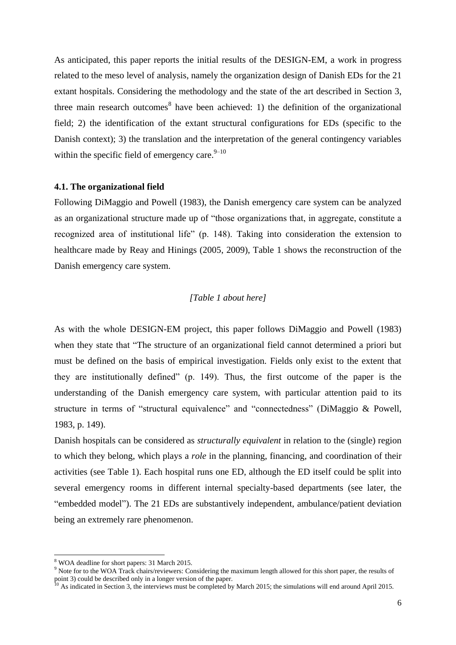As anticipated, this paper reports the initial results of the DESIGN-EM, a work in progress related to the meso level of analysis, namely the organization design of Danish EDs for the 21 extant hospitals. Considering the methodology and the state of the art described in Section 3, three main research outcomes<sup>8</sup> have been achieved: 1) the definition of the organizational field; 2) the identification of the extant structural configurations for EDs (specific to the Danish context); 3) the translation and the interpretation of the general contingency variables within the specific field of emergency care. $9-10$ 

### **4.1. The organizational field**

Following DiMaggio and Powell (1983), the Danish emergency care system can be analyzed as an organizational structure made up of "those organizations that, in aggregate, constitute a recognized area of institutional life" (p. 148). Taking into consideration the extension to healthcare made by Reay and Hinings (2005, 2009), Table 1 shows the reconstruction of the Danish emergency care system.

## *[Table 1 about here]*

As with the whole DESIGN-EM project, this paper follows DiMaggio and Powell (1983) when they state that "The structure of an organizational field cannot determined a priori but must be defined on the basis of empirical investigation. Fields only exist to the extent that they are institutionally defined" (p. 149). Thus, the first outcome of the paper is the understanding of the Danish emergency care system, with particular attention paid to its structure in terms of "structural equivalence" and "connectedness" (DiMaggio & Powell, 1983, p. 149).

Danish hospitals can be considered as *structurally equivalent* in relation to the (single) region to which they belong, which plays a *role* in the planning, financing, and coordination of their activities (see Table 1). Each hospital runs one ED, although the ED itself could be split into several emergency rooms in different internal specialty-based departments (see later, the "embedded model"). The 21 EDs are substantively independent, ambulance/patient deviation being an extremely rare phenomenon.

**.** 

<sup>8</sup> WOA deadline for short papers: 31 March 2015.

<sup>9</sup> Note for to the WOA Track chairs/reviewers: Considering the maximum length allowed for this short paper, the results of point 3) could be described only in a longer version of the paper.

 $10$  As indicated in Section 3, the interviews must be completed by March 2015; the simulations will end around April 2015.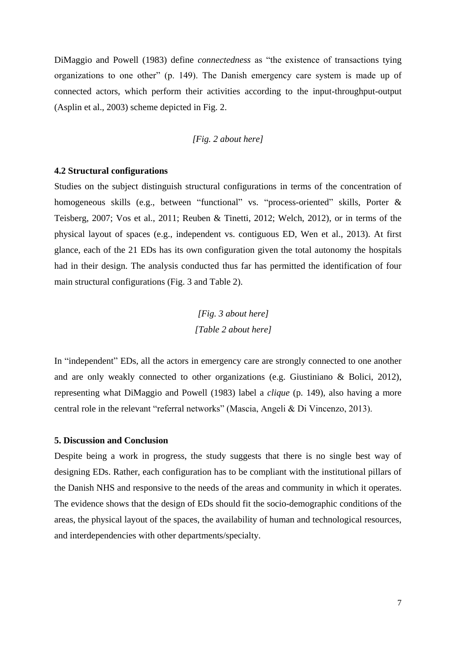DiMaggio and Powell (1983) define *connectedness* as "the existence of transactions tying organizations to one other" (p. 149). The Danish emergency care system is made up of connected actors, which perform their activities according to the input-throughput-output (Asplin et al., 2003) scheme depicted in Fig. 2.

# *[Fig. 2 about here]*

### **4.2 Structural configurations**

Studies on the subject distinguish structural configurations in terms of the concentration of homogeneous skills (e.g., between "functional" vs. "process-oriented" skills, Porter & Teisberg, 2007; Vos et al., 2011; Reuben & Tinetti, 2012; Welch, 2012), or in terms of the physical layout of spaces (e.g., independent vs. contiguous ED, Wen et al., 2013). At first glance, each of the 21 EDs has its own configuration given the total autonomy the hospitals had in their design. The analysis conducted thus far has permitted the identification of four main structural configurations (Fig. 3 and Table 2).

> *[Fig. 3 about here] [Table 2 about here]*

In "independent" EDs, all the actors in emergency care are strongly connected to one another and are only weakly connected to other organizations (e.g. Giustiniano & Bolici, 2012), representing what DiMaggio and Powell (1983) label a *clique* (p. 149), also having a more central role in the relevant "referral networks" (Mascia, Angeli & Di Vincenzo, 2013).

## **5. Discussion and Conclusion**

Despite being a work in progress, the study suggests that there is no single best way of designing EDs. Rather, each configuration has to be compliant with the institutional pillars of the Danish NHS and responsive to the needs of the areas and community in which it operates. The evidence shows that the design of EDs should fit the socio-demographic conditions of the areas, the physical layout of the spaces, the availability of human and technological resources, and interdependencies with other departments/specialty.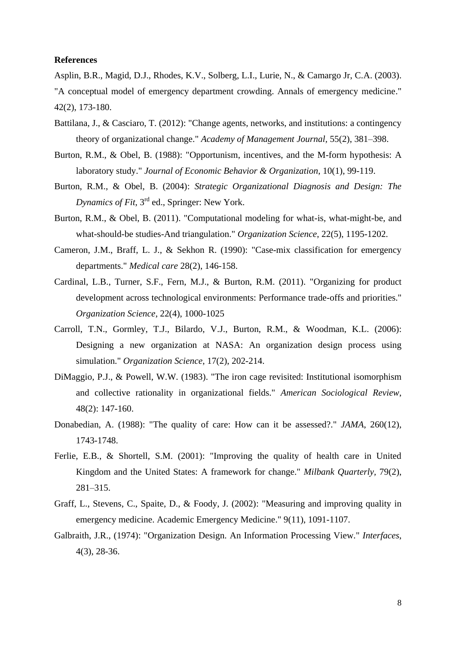### **References**

Asplin, B.R., Magid, D.J., Rhodes, K.V., Solberg, L.I., Lurie, N., & Camargo Jr, C.A. (2003). "A conceptual model of emergency department crowding. Annals of emergency medicine." 42(2), 173-180.

- Battilana, J., & Casciaro, T. (2012): "Change agents, networks, and institutions: a contingency theory of organizational change." *Academy of Management Journal,* 55(2), 381–398.
- Burton, R.M., & Obel, B. (1988): "Opportunism, incentives, and the M-form hypothesis: A laboratory study." *Journal of Economic Behavior & Organization*, 10(1), 99-119.
- Burton, R.M., & Obel, B. (2004): *Strategic Organizational Diagnosis and Design: The*  Dynamics of Fit, 3<sup>rd</sup> ed., Springer: New York.
- Burton, R.M., & Obel, B. (2011). "Computational modeling for what-is, what-might-be, and what-should-be studies-And triangulation." *Organization Science*, 22(5), 1195-1202.
- Cameron, J.M., Braff, L. J., & Sekhon R. (1990): "Case-mix classification for emergency departments." *Medical care* 28(2), 146-158.
- Cardinal, L.B., Turner, S.F., Fern, M.J., & Burton, R.M. (2011). "Organizing for product development across technological environments: Performance trade-offs and priorities." *Organization Science*, 22(4), 1000-1025
- Carroll, T.N., Gormley, T.J., Bilardo, V.J., Burton, R.M., & Woodman, K.L. (2006): Designing a new organization at NASA: An organization design process using simulation." *Organization Science*, 17(2), 202-214.
- DiMaggio, P.J., & Powell, W.W. (1983). "The iron cage revisited: Institutional isomorphism and collective rationality in organizational fields." *American Sociological Review*, 48(2): 147-160.
- Donabedian, A. (1988): "The quality of care: How can it be assessed?." *JAMA*, 260(12), 1743-1748.
- Ferlie, E.B., & Shortell, S.M. (2001): "Improving the quality of health care in United Kingdom and the United States: A framework for change." *Milbank Quarterly,* 79(2), 281–315.
- Graff, L., Stevens, C., Spaite, D., & Foody, J. (2002): "Measuring and improving quality in emergency medicine. Academic Emergency Medicine." 9(11), 1091-1107.
- Galbraith, J.R., (1974): "Organization Design. An Information Processing View." *Interfaces*, 4(3), 28-36.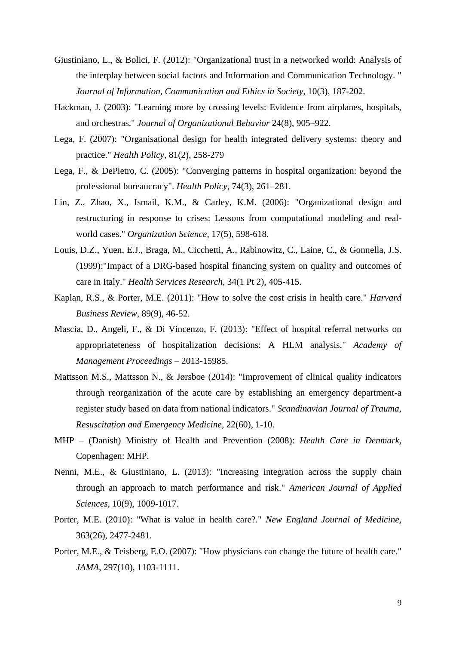- Giustiniano, L., & Bolici, F. (2012): "Organizational trust in a networked world: Analysis of the interplay between social factors and Information and Communication Technology. " *Journal of Information, Communication and Ethics in Society*, 10(3), 187-202.
- Hackman, J. (2003): "Learning more by crossing levels: Evidence from airplanes, hospitals, and orchestras." *Journal of Organizational Behavior* 24(8), 905–922.
- Lega, F. (2007): "Organisational design for health integrated delivery systems: theory and practice." *Health Policy*, 81(2), 258-279
- Lega, F., & DePietro, C. (2005): "Converging patterns in hospital organization: beyond the professional bureaucracy". *Health Policy*, 74(3), 261–281.
- Lin, Z., Zhao, X., Ismail, K.M., & Carley, K.M. (2006): "Organizational design and restructuring in response to crises: Lessons from computational modeling and realworld cases." *Organization Science*, 17(5), 598-618.
- Louis, D.Z., Yuen, E.J., Braga, M., Cicchetti, A., Rabinowitz, C., Laine, C., & Gonnella, J.S. (1999):"Impact of a DRG-based hospital financing system on quality and outcomes of care in Italy." *Health Services Research*, 34(1 Pt 2), 405-415.
- Kaplan, R.S., & Porter, M.E. (2011): "How to solve the cost crisis in health care." *Harvard Business Review*, 89(9), 46-52.
- Mascia, D., Angeli, F., & Di Vincenzo, F. (2013): "Effect of hospital referral networks on appropriateteness of hospitalization decisions: A HLM analysis." *Academy of Management Proceedings* – 2013-15985.
- Mattsson M.S., Mattsson N., & Jørsboe (2014): "Improvement of clinical quality indicators through reorganization of the acute care by establishing an emergency department-a register study based on data from national indicators." *Scandinavian Journal of Trauma, Resuscitation and Emergency Medicine,* 22(60), 1-10.
- MHP (Danish) Ministry of Health and Prevention (2008): *Health Care in Denmark*, Copenhagen: MHP.
- Nenni, M.E., & Giustiniano, L. (2013): "Increasing integration across the supply chain through an approach to match performance and risk." *American Journal of Applied Sciences*, 10(9), 1009-1017.
- Porter, M.E. (2010): "What is value in health care?." *New England Journal of Medicine*, 363(26), 2477-2481.
- Porter, M.E., & Teisberg, E.O. (2007): "How physicians can change the future of health care." *JAMA*, 297(10), 1103-1111.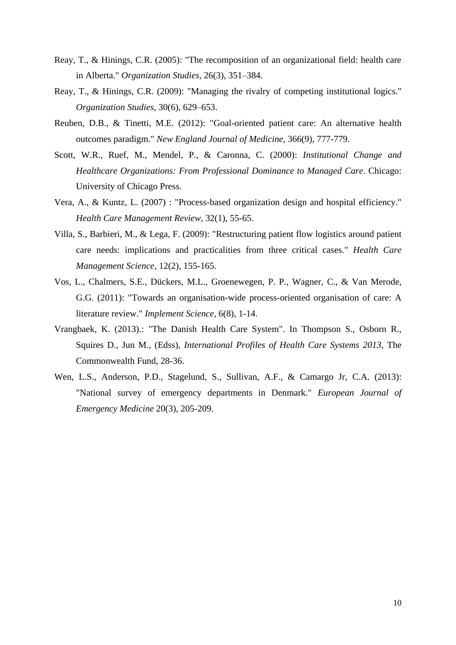- Reay, T., & Hinings, C.R. (2005): "The recomposition of an organizational field: health care in Alberta." *Organization Studies,* 26(3), 351–384.
- Reay, T., & Hinings, C.R. (2009): "Managing the rivalry of competing institutional logics." *Organization Studies,* 30(6), 629–653.
- Reuben, D.B., & Tinetti, M.E. (2012): "Goal-oriented patient care: An alternative health outcomes paradigm." *New England Journal of Medicine*, 366(9), 777-779.
- Scott, W.R., Ruef, M., Mendel, P., & Caronna, C. (2000): *Institutional Change and Healthcare Organizations: From Professional Dominance to Managed Care*. Chicago: University of Chicago Press.
- Vera, A., & Kuntz, L. (2007) : "Process-based organization design and hospital efficiency." *Health Care Management Review*, 32(1), 55-65.
- Villa, S., Barbieri, M., & Lega, F. (2009): "Restructuring patient flow logistics around patient care needs: implications and practicalities from three critical cases." *Health Care Management Science*, 12(2), 155-165.
- Vos, L., Chalmers, S.E., Dückers, M.L., Groenewegen, P. P., Wagner, C., & Van Merode, G.G. (2011): "Towards an organisation-wide process-oriented organisation of care: A literature review." *Implement Science*, 6(8), 1-14.
- Vrangbaek, K. (2013).: "The Danish Health Care System". In Thompson S., Osborn R., Squires D., Jun M., (Edss), *International Profiles of Health Care Systems 2013*, The Commonwealth Fund, 28-36.
- Wen, L.S., Anderson, P.D., Stagelund, S., Sullivan, A.F., & Camargo Jr, C.A. (2013): "National survey of emergency departments in Denmark." *European Journal of Emergency Medicine* 20(3), 205-209.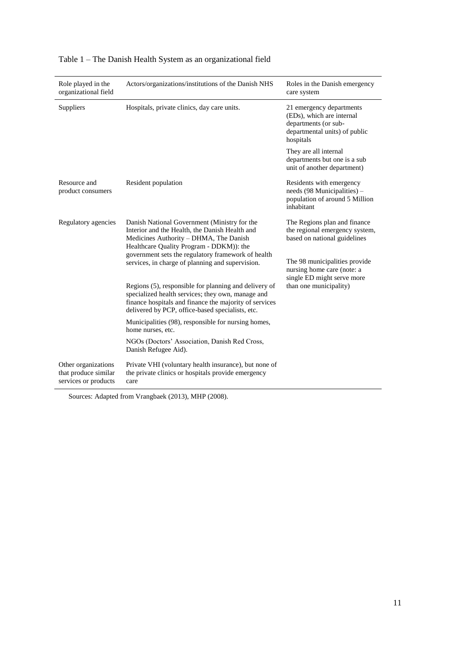| Role played in the<br>organizational field                          | Actors/organizations/institutions of the Danish NHS                                                                                                                                                                                        | Roles in the Danish emergency<br>care system                                                                                |  |
|---------------------------------------------------------------------|--------------------------------------------------------------------------------------------------------------------------------------------------------------------------------------------------------------------------------------------|-----------------------------------------------------------------------------------------------------------------------------|--|
| Suppliers                                                           | Hospitals, private clinics, day care units.                                                                                                                                                                                                | 21 emergency departments<br>(EDs), which are internal<br>departments (or sub-<br>departmental units) of public<br>hospitals |  |
|                                                                     |                                                                                                                                                                                                                                            | They are all internal<br>departments but one is a sub<br>unit of another department)                                        |  |
| Resource and<br>product consumers                                   | Resident population                                                                                                                                                                                                                        | Residents with emergency<br>needs (98 Municipalities) -<br>population of around 5 Million<br>inhabitant                     |  |
| Regulatory agencies                                                 | Danish National Government (Ministry for the<br>Interior and the Health, the Danish Health and<br>Medicines Authority - DHMA, The Danish<br>Healthcare Quality Program - DDKM)): the<br>government sets the regulatory framework of health | The Regions plan and finance<br>the regional emergency system,<br>based on national guidelines                              |  |
|                                                                     | services, in charge of planning and supervision.                                                                                                                                                                                           | The 98 municipalities provide<br>nursing home care (note: a<br>single ED might serve more                                   |  |
|                                                                     | Regions (5), responsible for planning and delivery of<br>specialized health services; they own, manage and<br>finance hospitals and finance the majority of services<br>delivered by PCP, office-based specialists, etc.                   | than one municipality)                                                                                                      |  |
|                                                                     | Municipalities (98), responsible for nursing homes,<br>home nurses, etc.                                                                                                                                                                   |                                                                                                                             |  |
|                                                                     | NGOs (Doctors' Association, Danish Red Cross,<br>Danish Refugee Aid).                                                                                                                                                                      |                                                                                                                             |  |
| Other organizations<br>that produce similar<br>services or products | Private VHI (voluntary health insurance), but none of<br>the private clinics or hospitals provide emergency<br>care                                                                                                                        |                                                                                                                             |  |

# Table 1 – The Danish Health System as an organizational field

Sources: Adapted from Vrangbaek (2013), MHP (2008).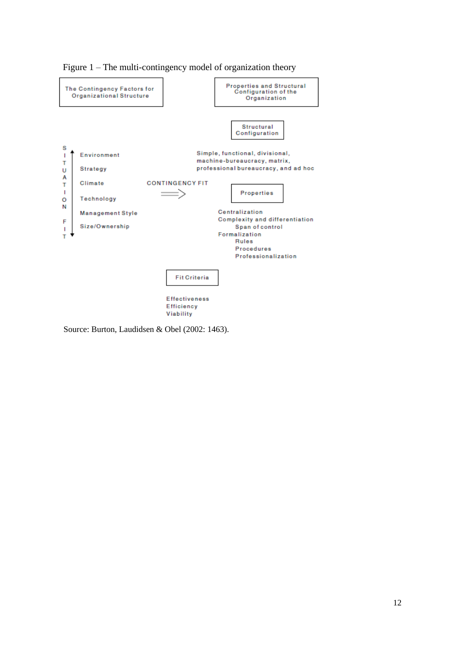

Figure 1 – The multi-contingency model of organization theory

Source: Burton, Laudidsen & Obel (2002: 1463).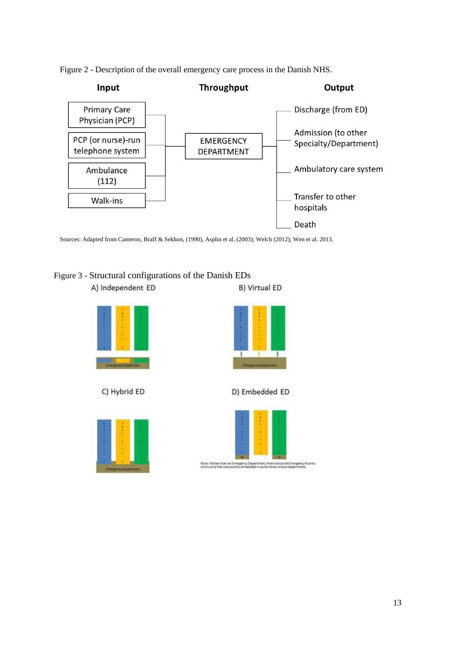



Sources: Adapted from Cameron, Braff & Sekhon, (1990), Asplin et al. (2003); Welch (2012); Wen et al. 2013.

Figure 3 - Structural configurations of the Danish EDsA) Independent ED B) Virtual ED









D) Embedded ED



Note: Ratherthan an I<br>(entry and first-care pr re are some Emergency A<br>her clinical departments